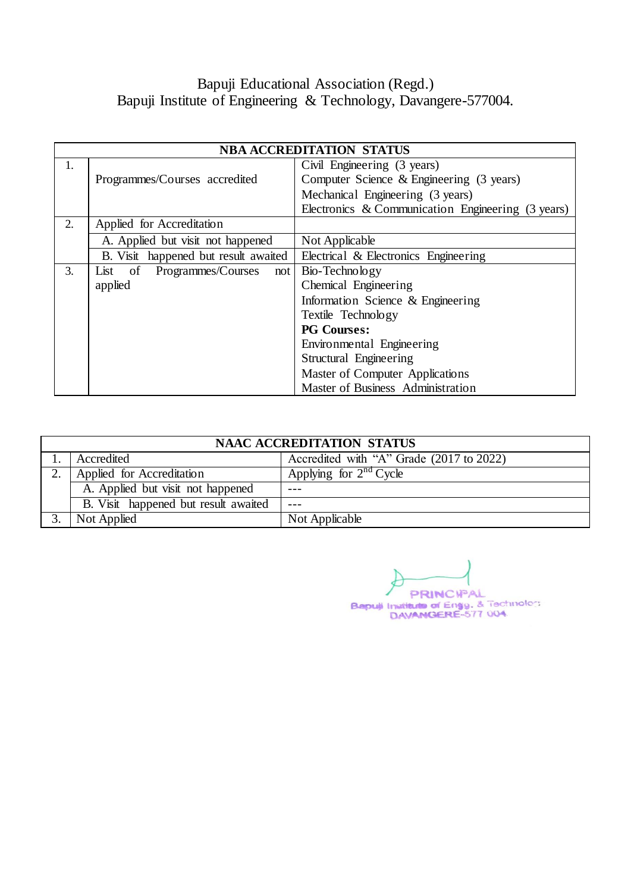# Bapuji Educational Association (Regd.) Bapuji Institute of Engineering & Technology, Davangere-577004.

|    | <b>NBA ACCREDITATION STATUS</b>      |                                                   |  |  |  |  |
|----|--------------------------------------|---------------------------------------------------|--|--|--|--|
| 1. |                                      | Civil Engineering (3 years)                       |  |  |  |  |
|    | Programmes/Courses accredited        | Computer Science & Engineering (3 years)          |  |  |  |  |
|    |                                      | Mechanical Engineering (3 years)                  |  |  |  |  |
|    |                                      | Electronics & Communication Engineering (3 years) |  |  |  |  |
| 2. | Applied for Accreditation            |                                                   |  |  |  |  |
|    | A. Applied but visit not happened    | Not Applicable                                    |  |  |  |  |
|    | B. Visit happened but result awaited | Electrical & Electronics Engineering              |  |  |  |  |
| 3. | List of Programmes/Courses<br>not l  | Bio-Technology                                    |  |  |  |  |
|    | applied                              | Chemical Engineering                              |  |  |  |  |
|    |                                      | Information Science & Engineering                 |  |  |  |  |
|    |                                      | Textile Technology                                |  |  |  |  |
|    |                                      | <b>PG Courses:</b>                                |  |  |  |  |
|    |                                      | Environmental Engineering                         |  |  |  |  |
|    |                                      | Structural Engineering                            |  |  |  |  |
|    |                                      | Master of Computer Applications                   |  |  |  |  |
|    |                                      | Master of Business Administration                 |  |  |  |  |

| <b>NAAC ACCREDITATION STATUS</b>     |                                          |  |  |  |  |
|--------------------------------------|------------------------------------------|--|--|--|--|
| Accredited                           | Accredited with "A" Grade (2017 to 2022) |  |  |  |  |
| Applied for Accreditation            | Applying for $2nd$ Cycle                 |  |  |  |  |
| A. Applied but visit not happened    |                                          |  |  |  |  |
| B. Visit happened but result awaited |                                          |  |  |  |  |
| Not Applied                          | Not Applicable                           |  |  |  |  |

PRINCIPAL Bapul Institute of Engg. & Technology<br>DAVANGERE-577 004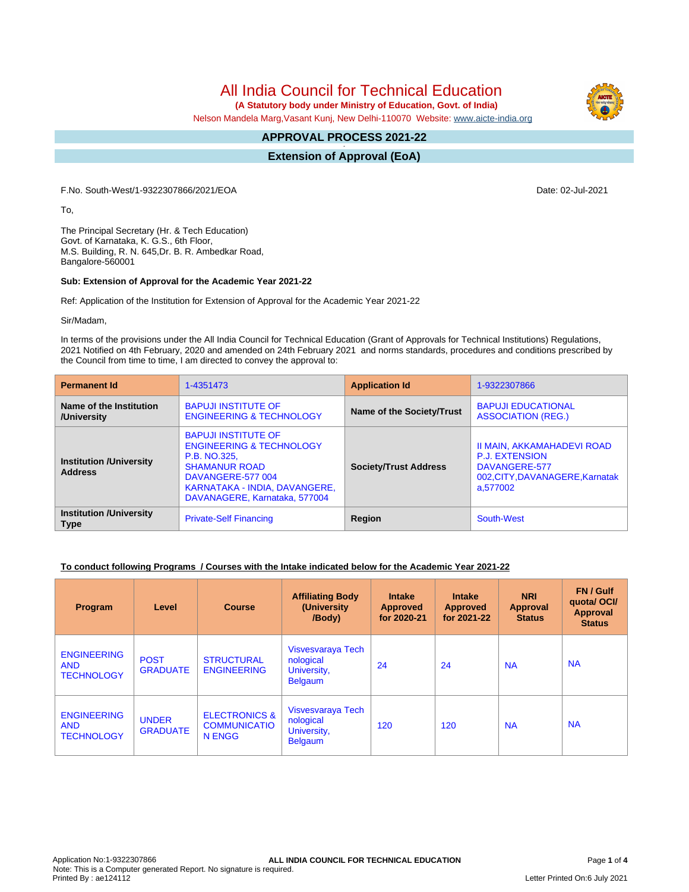All India Council for Technical Education

 **(A Statutory body under Ministry of Education, Govt. of India)**

Nelson Mandela Marg,Vasant Kunj, New Delhi-110070 Website: [www.aicte-india.org](http://www.aicte-india.org)

#### **APPROVAL PROCESS 2021-22 -**

**Extension of Approval (EoA)**

F.No. South-West/1-9322307866/2021/EOA Date: 02-Jul-2021

To,

The Principal Secretary (Hr. & Tech Education) Govt. of Karnataka, K. G.S., 6th Floor, M.S. Building, R. N. 645,Dr. B. R. Ambedkar Road, Bangalore-560001

### **Sub: Extension of Approval for the Academic Year 2021-22**

Ref: Application of the Institution for Extension of Approval for the Academic Year 2021-22

Sir/Madam,

In terms of the provisions under the All India Council for Technical Education (Grant of Approvals for Technical Institutions) Regulations, 2021 Notified on 4th February, 2020 and amended on 24th February 2021 and norms standards, procedures and conditions prescribed by the Council from time to time, I am directed to convey the approval to:

| <b>Permanent Id</b><br>1-4351473                                                                                                                                                                                                                     |                                                                                                | <b>Application Id</b>        | 1-9322307866                                                                                                        |  |
|------------------------------------------------------------------------------------------------------------------------------------------------------------------------------------------------------------------------------------------------------|------------------------------------------------------------------------------------------------|------------------------------|---------------------------------------------------------------------------------------------------------------------|--|
| Name of the Institution<br>/University                                                                                                                                                                                                               | <b>BAPUJI INSTITUTE OF</b><br>Name of the Society/Trust<br><b>ENGINEERING &amp; TECHNOLOGY</b> |                              | <b>BAPUJI EDUCATIONAL</b><br><b>ASSOCIATION (REG.)</b>                                                              |  |
| <b>BAPUJI INSTITUTE OF</b><br><b>ENGINEERING &amp; TECHNOLOGY</b><br>P.B. NO.325.<br><b>Institution /University</b><br><b>SHAMANUR ROAD</b><br><b>Address</b><br>DAVANGERE-577 004<br>KARNATAKA - INDIA, DAVANGERE,<br>DAVANAGERE, Karnataka, 577004 |                                                                                                | <b>Society/Trust Address</b> | II MAIN, AKKAMAHADEVI ROAD<br><b>P.J. EXTENSION</b><br>DAVANGERE-577<br>002, CITY, DAVANAGERE, Karnatak<br>a.577002 |  |
| <b>Institution /University</b><br><b>Type</b>                                                                                                                                                                                                        | <b>Private-Self Financing</b>                                                                  | Region                       | South-West                                                                                                          |  |

### **To conduct following Programs / Courses with the Intake indicated below for the Academic Year 2021-22**

| Program                                               | Level                           | <b>Course</b>                                             | <b>Affiliating Body</b><br>(University)<br>/Body)               | <b>Intake</b><br><b>Approved</b><br>for 2020-21 | <b>Intake</b><br><b>Approved</b><br>for 2021-22 | <b>NRI</b><br>Approval<br><b>Status</b> | FN / Gulf<br>quotal OCI/<br><b>Approval</b><br><b>Status</b> |
|-------------------------------------------------------|---------------------------------|-----------------------------------------------------------|-----------------------------------------------------------------|-------------------------------------------------|-------------------------------------------------|-----------------------------------------|--------------------------------------------------------------|
| <b>ENGINEERING</b><br><b>AND</b><br><b>TECHNOLOGY</b> | <b>POST</b><br><b>GRADUATE</b>  | <b>STRUCTURAL</b><br><b>ENGINEERING</b>                   | Visvesvaraya Tech<br>nological<br>University,<br><b>Belgaum</b> | 24                                              | 24                                              | <b>NA</b>                               | <b>NA</b>                                                    |
| <b>ENGINEERING</b><br><b>AND</b><br><b>TECHNOLOGY</b> | <b>UNDER</b><br><b>GRADUATE</b> | <b>ELECTRONICS &amp;</b><br><b>COMMUNICATIO</b><br>N ENGG | Visvesvaraya Tech<br>nological<br>University,<br><b>Belgaum</b> | 120                                             | 120                                             | <b>NA</b>                               | <b>NA</b>                                                    |

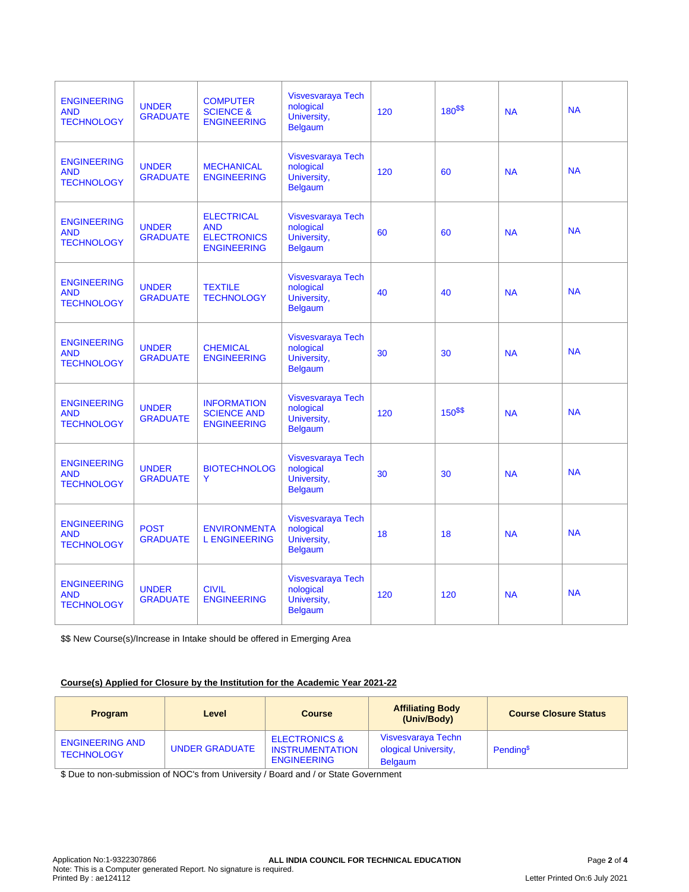| <b>ENGINEERING</b><br><b>AND</b><br><b>TECHNOLOGY</b> | <b>UNDER</b><br><b>GRADUATE</b> | <b>COMPUTER</b><br><b>SCIENCE &amp;</b><br><b>ENGINEERING</b>               | <b>Visvesvaraya Tech</b><br>nological<br>University,<br><b>Belgaum</b> | 120 | 180\$\$ | <b>NA</b> | <b>NA</b> |
|-------------------------------------------------------|---------------------------------|-----------------------------------------------------------------------------|------------------------------------------------------------------------|-----|---------|-----------|-----------|
| <b>ENGINEERING</b><br><b>AND</b><br><b>TECHNOLOGY</b> | <b>UNDER</b><br><b>GRADUATE</b> | <b>MECHANICAL</b><br><b>ENGINEERING</b>                                     | Visvesvaraya Tech<br>nological<br>University,<br><b>Belgaum</b>        | 120 | 60      | <b>NA</b> | <b>NA</b> |
| <b>ENGINEERING</b><br><b>AND</b><br><b>TECHNOLOGY</b> | <b>UNDER</b><br><b>GRADUATE</b> | <b>ELECTRICAL</b><br><b>AND</b><br><b>ELECTRONICS</b><br><b>ENGINEERING</b> | Visvesvaraya Tech<br>nological<br>University,<br><b>Belgaum</b>        | 60  | 60      | <b>NA</b> | <b>NA</b> |
| <b>ENGINEERING</b><br><b>AND</b><br><b>TECHNOLOGY</b> | <b>UNDER</b><br><b>GRADUATE</b> | <b>TEXTILE</b><br><b>TECHNOLOGY</b>                                         | <b>Visvesvaraya Tech</b><br>nological<br>University,<br><b>Belgaum</b> | 40  | 40      | <b>NA</b> | <b>NA</b> |
| <b>ENGINEERING</b><br><b>AND</b><br><b>TECHNOLOGY</b> | <b>UNDER</b><br><b>GRADUATE</b> | <b>CHEMICAL</b><br><b>ENGINEERING</b>                                       | Visvesvaraya Tech<br>nological<br>University,<br><b>Belgaum</b>        | 30  | 30      | <b>NA</b> | <b>NA</b> |
| <b>ENGINEERING</b><br><b>AND</b><br><b>TECHNOLOGY</b> | <b>UNDER</b><br><b>GRADUATE</b> | <b>INFORMATION</b><br><b>SCIENCE AND</b><br><b>ENGINEERING</b>              | Visvesvaraya Tech<br>nological<br>University,<br><b>Belgaum</b>        | 120 | 150\$\$ | <b>NA</b> | <b>NA</b> |
| <b>ENGINEERING</b><br><b>AND</b><br><b>TECHNOLOGY</b> | <b>UNDER</b><br><b>GRADUATE</b> | <b>BIOTECHNOLOG</b><br>Y                                                    | <b>Visvesvaraya Tech</b><br>nological<br>University,<br><b>Belgaum</b> | 30  | 30      | <b>NA</b> | <b>NA</b> |
| <b>ENGINEERING</b><br><b>AND</b><br><b>TECHNOLOGY</b> | <b>POST</b><br><b>GRADUATE</b>  | <b>ENVIRONMENTA</b><br><b>L ENGINEERING</b>                                 | Visvesvaraya Tech<br>nological<br>University,<br><b>Belgaum</b>        | 18  | 18      | <b>NA</b> | <b>NA</b> |
| <b>ENGINEERING</b><br><b>AND</b><br><b>TECHNOLOGY</b> | <b>UNDER</b><br><b>GRADUATE</b> | <b>CIVIL</b><br><b>ENGINEERING</b>                                          | Visvesvaraya Tech<br>nological<br>University,<br><b>Belgaum</b>        | 120 | 120     | <b>NA</b> | <b>NA</b> |

\$\$ New Course(s)/Increase in Intake should be offered in Emerging Area

## **Course(s) Applied for Closure by the Institution for the Academic Year 2021-22**

| <b>Program</b>                              | Level                 | <b>Course</b>                                                            | <b>Affiliating Body</b><br>(Univ/Body)                       | <b>Course Closure Status</b> |
|---------------------------------------------|-----------------------|--------------------------------------------------------------------------|--------------------------------------------------------------|------------------------------|
| <b>ENGINEERING AND</b><br><b>TECHNOLOGY</b> | <b>UNDER GRADUATE</b> | <b>ELECTRONICS &amp;</b><br><b>INSTRUMENTATION</b><br><b>ENGINEERING</b> | Visvesvaraya Techn<br>ological University,<br><b>Belgaum</b> | Pending <sup>\$</sup>        |

\$ Due to non-submission of NOC's from University / Board and / or State Government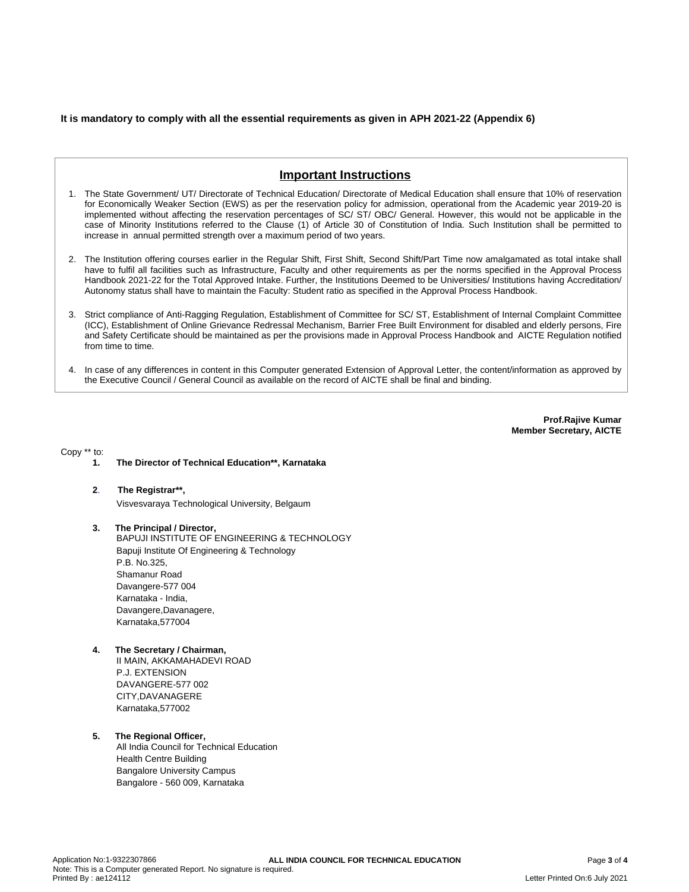### **It is mandatory to comply with all the essential requirements as given in APH 2021-22 (Appendix 6)**



- 1. The State Government/ UT/ Directorate of Technical Education/ Directorate of Medical Education shall ensure that 10% of reservation for Economically Weaker Section (EWS) as per the reservation policy for admission, operational from the Academic year 2019-20 is implemented without affecting the reservation percentages of SC/ ST/ OBC/ General. However, this would not be applicable in the case of Minority Institutions referred to the Clause (1) of Article 30 of Constitution of India. Such Institution shall be permitted to increase in annual permitted strength over a maximum period of two years.
- 2. The Institution offering courses earlier in the Regular Shift, First Shift, Second Shift/Part Time now amalgamated as total intake shall have to fulfil all facilities such as Infrastructure, Faculty and other requirements as per the norms specified in the Approval Process Handbook 2021-22 for the Total Approved Intake. Further, the Institutions Deemed to be Universities/ Institutions having Accreditation/ Autonomy status shall have to maintain the Faculty: Student ratio as specified in the Approval Process Handbook.
- 3. Strict compliance of Anti-Ragging Regulation, Establishment of Committee for SC/ ST, Establishment of Internal Complaint Committee (ICC), Establishment of Online Grievance Redressal Mechanism, Barrier Free Built Environment for disabled and elderly persons, Fire and Safety Certificate should be maintained as per the provisions made in Approval Process Handbook and AICTE Regulation notified from time to time.
- 4. In case of any differences in content in this Computer generated Extension of Approval Letter, the content/information as approved by the Executive Council / General Council as available on the record of AICTE shall be final and binding.

**Prof.Rajive Kumar Member Secretary, AICTE**

Copy \*\* to:

- **1. The Director of Technical Education\*\*, Karnataka**
- **2**. **The Registrar\*\*,** Visvesvaraya Technological University, Belgaum
- **3. The Principal / Director,** BAPUJI INSTITUTE OF ENGINEERING & TECHNOLOGY Bapuji Institute Of Engineering & Technology P.B. No.325, Shamanur Road Davangere-577 004 Karnataka - India, Davangere,Davanagere, Karnataka,577004
- **4. The Secretary / Chairman,** II MAIN, AKKAMAHADEVI ROAD P.J. EXTENSION DAVANGERE-577 002 CITY,DAVANAGERE Karnataka,577002

### **5. The Regional Officer,**

All India Council for Technical Education Health Centre Building Bangalore University Campus Bangalore - 560 009, Karnataka